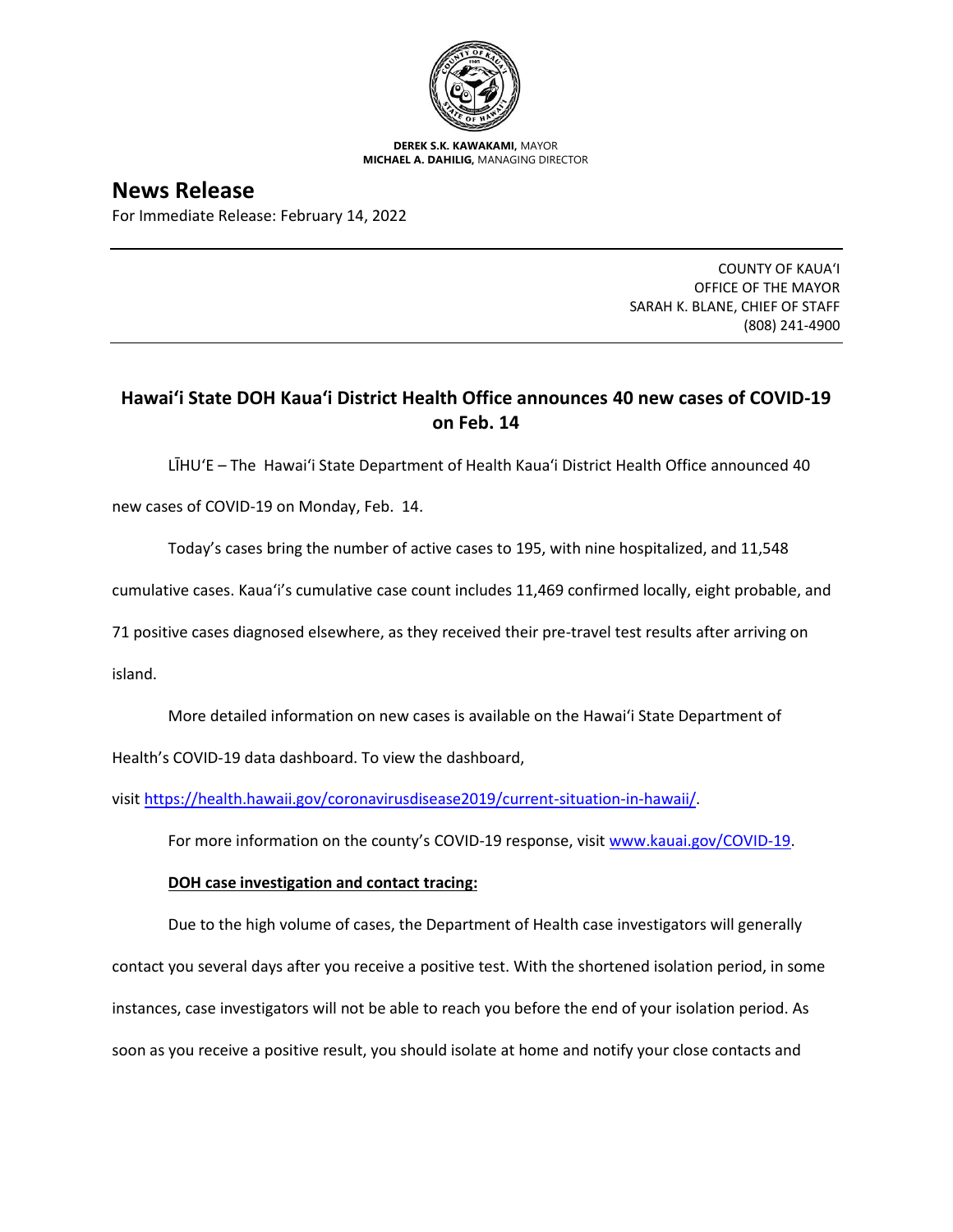

**DEREK S.K. KAWAKAMI,** MAYOR **MICHAEL A. DAHILIG,** MANAGING DIRECTOR

**News Release** For Immediate Release: February 14, 2022

> COUNTY OF KAUA'I OFFICE OF THE MAYOR SARAH K. BLANE, CHIEF OF STAFF (808) 241-4900

## **Hawai'i State DOH Kaua'i District Health Office announces 40 new cases of COVID-19 on Feb. 14**

LĪHU'E – The Hawai'i State Department of Health Kaua'i District Health Office announced 40

new cases of COVID-19 on Monday, Feb. 14.

Today's cases bring the number of active cases to 195, with nine hospitalized, and 11,548

cumulative cases. Kaua'i's cumulative case count includes 11,469 confirmed locally, eight probable, and

71 positive cases diagnosed elsewhere, as they received their pre-travel test results after arriving on

island.

More detailed information on new cases is available on the Hawai'i State Department of

Health's COVID-19 data dashboard. To view the dashboard,

visit [https://health.hawaii.gov/coronavirusdisease2019/current-situation-in-hawaii/.](https://health.hawaii.gov/coronavirusdisease2019/current-situation-in-hawaii/)

For more information on the county's COVID-19 response, visit [www.kauai.gov/COVID-19.](https://urldefense.com/v3/__http:/www.kauai.gov/COVID-19__;!!LIYSdFfckKA!l4A5nHuw73q2ubt1jVfVpBxrgAoeT-qm9LHA2X0eDo7DmU1d8EztTez1J2SRjWo05uCKvMiUtA$)

## **DOH case investigation and contact tracing:**

Due to the high volume of cases, the Department of Health case investigators will generally contact you several days after you receive a positive test. With the shortened isolation period, in some instances, case investigators will not be able to reach you before the end of your isolation period. As soon as you receive a positive result, you should isolate at home and notify your close contacts and